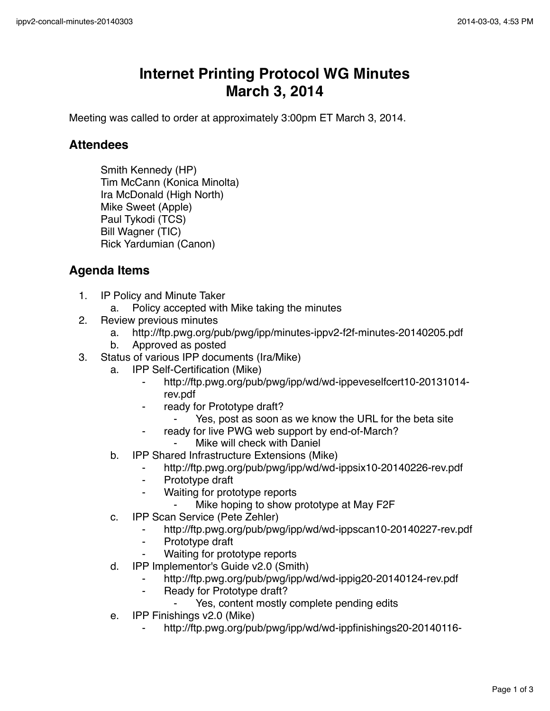## **Internet Printing Protocol WG Minutes March 3, 2014**

Meeting was called to order at approximately 3:00pm ET March 3, 2014.

## **Attendees**

Smith Kennedy (HP) Tim McCann (Konica Minolta) Ira McDonald (High North) Mike Sweet (Apple) Paul Tykodi (TCS) Bill Wagner (TIC) Rick Yardumian (Canon)

## **Agenda Items**

- 1. IP Policy and Minute Taker
	- a. Policy accepted with Mike taking the minutes
- 2. Review previous minutes
	- a. http://ftp.pwg.org/pub/pwg/ipp/minutes-ippv2-f2f-minutes-20140205.pdf
	- b. Approved as posted
- 3. Status of various IPP documents (Ira/Mike)
	- a. IPP Self-Certification (Mike)
		- ⁃ http://ftp.pwg.org/pub/pwg/ipp/wd/wd-ippeveselfcert10-20131014 rev.pdf
		- ready for Prototype draft?
			- Yes, post as soon as we know the URL for the beta site
		- ready for live PWG web support by end-of-March?
			- ⁃ Mike will check with Daniel
	- b. IPP Shared Infrastructure Extensions (Mike)
		- ⁃ http://ftp.pwg.org/pub/pwg/ipp/wd/wd-ippsix10-20140226-rev.pdf
		- ⁃ Prototype draft
		- Waiting for prototype reports
			- Mike hoping to show prototype at May F2F
	- c. IPP Scan Service (Pete Zehler)
		- ⁃ http://ftp.pwg.org/pub/pwg/ipp/wd/wd-ippscan10-20140227-rev.pdf
		- ⁃ Prototype draft
		- ⁃ Waiting for prototype reports
	- d. IPP Implementor's Guide v2.0 (Smith)
		- http://ftp.pwg.org/pub/pwg/ipp/wd/wd-ippig20-20140124-rev.pdf
		- ⁃ Ready for Prototype draft?
			- ⁃ Yes, content mostly complete pending edits
	- e. IPP Finishings v2.0 (Mike)
		- ⁃ http://ftp.pwg.org/pub/pwg/ipp/wd/wd-ippfinishings20-20140116-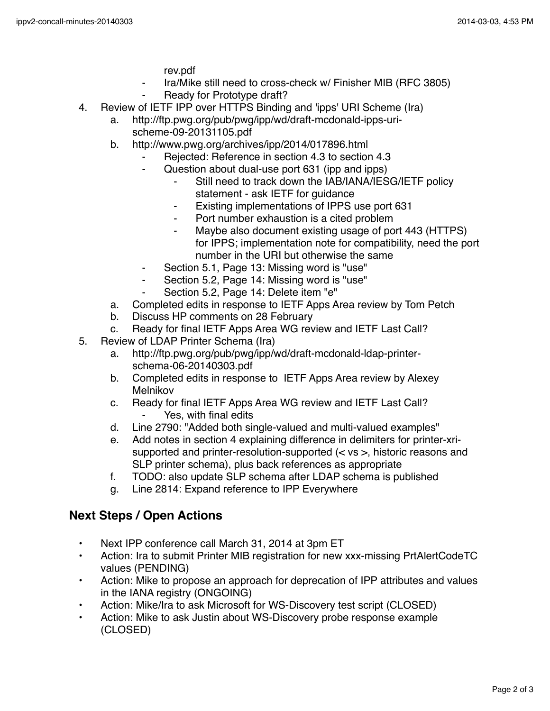rev.pdf

- Ira/Mike still need to cross-check w/ Finisher MIB (RFC 3805)
- Ready for Prototype draft?
- 4. Review of IETF IPP over HTTPS Binding and 'ipps' URI Scheme (Ira)
	- a. http://ftp.pwg.org/pub/pwg/ipp/wd/draft-mcdonald-ipps-urischeme-09-20131105.pdf
	- b. http://www.pwg.org/archives/ipp/2014/017896.html
		- ⁃ Rejected: Reference in section 4.3 to section 4.3
		- Question about dual-use port 631 (ipp and ipps)
			- Still need to track down the IAB/IANA/IESG/IETF policy statement - ask IETF for guidance
			- ⁃ Existing implementations of IPPS use port 631
			- Port number exhaustion is a cited problem
			- Maybe also document existing usage of port 443 (HTTPS) for IPPS; implementation note for compatibility, need the port number in the URI but otherwise the same
		- Section 5.1, Page 13: Missing word is "use"
		- Section 5.2, Page 14: Missing word is "use"
		- Section 5.2, Page 14: Delete item "e"
	- a. Completed edits in response to IETF Apps Area review by Tom Petch
	- b. Discuss HP comments on 28 February
	- c. Ready for final IETF Apps Area WG review and IETF Last Call?
- 5. Review of LDAP Printer Schema (Ira)
	- a. http://ftp.pwg.org/pub/pwg/ipp/wd/draft-mcdonald-ldap-printerschema-06-20140303.pdf
	- b. Completed edits in response to IETF Apps Area review by Alexey Melnikov
	- c. Ready for final IETF Apps Area WG review and IETF Last Call? Yes, with final edits
	- d. Line 2790: "Added both single-valued and multi-valued examples"
	- e. Add notes in section 4 explaining difference in delimiters for printer-xrisupported and printer-resolution-supported (< vs >, historic reasons and SLP printer schema), plus back references as appropriate
	- f. TODO: also update SLP schema after LDAP schema is published
	- g. Line 2814: Expand reference to IPP Everywhere

## **Next Steps / Open Actions**

- Next IPP conference call March 31, 2014 at 3pm ET
- Action: Ira to submit Printer MIB registration for new xxx-missing PrtAlertCodeTC values (PENDING)
- Action: Mike to propose an approach for deprecation of IPP attributes and values in the IANA registry (ONGOING)
- Action: Mike/Ira to ask Microsoft for WS-Discovery test script (CLOSED)
- Action: Mike to ask Justin about WS-Discovery probe response example (CLOSED)